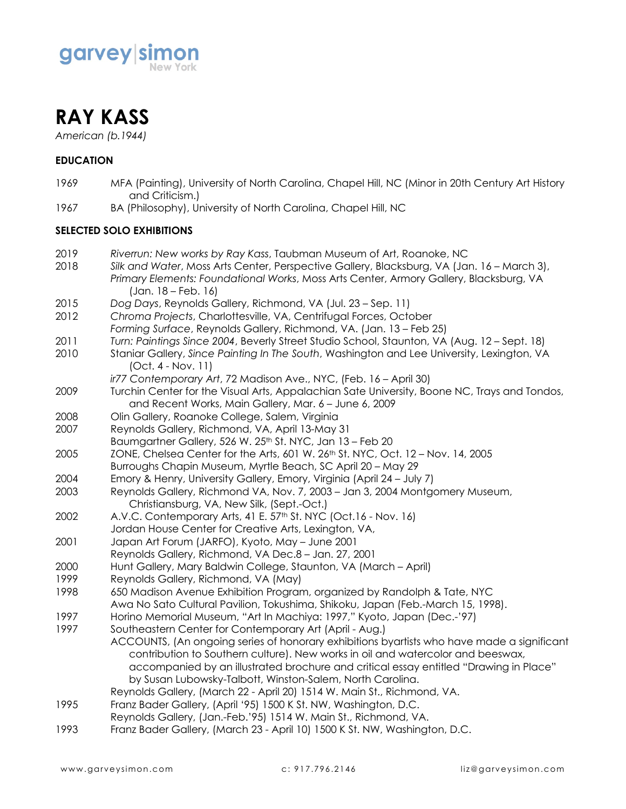



*American (b.1944)*

# **EDUCATION**

- 1969 MFA (Painting), University of North Carolina, Chapel Hill, NC (Minor in 20th Century Art History and Criticism.)
- 1967 BA (Philosophy), University of North Carolina, Chapel Hill, NC

### **SELECTED SOLO EXHIBITIONS**

- 2019 *Riverrun: New works by Ray Kass*, Taubman Museum of Art, Roanoke, NC
- 2018 *Silk and Water*, Moss Arts Center, Perspective Gallery, Blacksburg, VA (Jan. 16 March 3), *Primary Elements: Foundational Works*, Moss Arts Center, Armory Gallery, Blacksburg, VA (Jan. 18 – Feb. 16)
- 2015 *Dog Days*, Reynolds Gallery, Richmond, VA (Jul. 23 Sep. 11)
- 2012 *Chroma Projects*, Charlottesville, VA, Centrifugal Forces, October
- *Forming Surface*, Reynolds Gallery, Richmond, VA. (Jan. 13 Feb 25)
- 2011 *Turn: Paintings Since 2004*, Beverly Street Studio School, Staunton, VA (Aug. 12 Sept. 18)
- 2010 Staniar Gallery, *Since Painting In The South*, Washington and Lee University, Lexington, VA (Oct. 4 - Nov. 11)
	- *ir77 Contemporary Art*, 72 Madison Ave., NYC, (Feb. 16 April 30)
- 2009 Turchin Center for the Visual Arts, Appalachian Sate University, Boone NC, Trays and Tondos, and Recent Works, Main Gallery, Mar. 6 – June 6, 2009
- 2008 Olin Gallery, Roanoke College, Salem, Virginia
- 2007 Reynolds Gallery, Richmond, VA, April 13-May 31
- Baumgartner Gallery, 526 W. 25th St. NYC, Jan 13 Feb 20
- 2005 ZONE, Chelsea Center for the Arts, 601 W. 26th St. NYC, Oct. 12 Nov. 14, 2005
- Burroughs Chapin Museum, Myrtle Beach, SC April 20 May 29
- 2004 Emory & Henry, University Gallery, Emory, Virginia (April 24 July 7)
- 2003 Reynolds Gallery, Richmond VA, Nov. 7, 2003 Jan 3, 2004 Montgomery Museum, Christiansburg, VA, New Silk, (Sept.-Oct.)
- 2002 A.V.C. Contemporary Arts, 41 E. 57<sup>th</sup> St. NYC (Oct.16 Nov. 16)
- Jordan House Center for Creative Arts, Lexington, VA,
- 2001 Japan Art Forum (JARFO), Kyoto, May June 2001
- Reynolds Gallery, Richmond, VA Dec.8 Jan. 27, 2001
- 2000 Hunt Gallery, Mary Baldwin College, Staunton, VA (March April)
- 1999 Reynolds Gallery, Richmond, VA (May)
- 1998 650 Madison Avenue Exhibition Program, organized by Randolph & Tate, NYC
- Awa No Sato Cultural Pavilion, Tokushima, Shikoku, Japan (Feb.-March 15, 1998).
- 1997 Horino Memorial Museum, "Art In Machiya: 1997," Kyoto, Japan (Dec.-'97)
- 1997 Southeastern Center for Contemporary Art (April Aug.)
	- ACCOUNTS, (An ongoing series of honorary exhibitions byartists who have made a significant contribution to Southern culture). New works in oil and watercolor and beeswax, accompanied by an illustrated brochure and critical essay entitled "Drawing in Place" by Susan Lubowsky-Talbott, Winston-Salem, North Carolina.
	- Reynolds Gallery, (March 22 April 20) 1514 W. Main St., Richmond, VA.
- 1995 Franz Bader Gallery, (April '95) 1500 K St. NW, Washington, D.C.
- Reynolds Gallery, (Jan.-Feb.'95) 1514 W. Main St., Richmond, VA.
- 1993 Franz Bader Gallery, (March 23 April 10) 1500 K St. NW, Washington, D.C.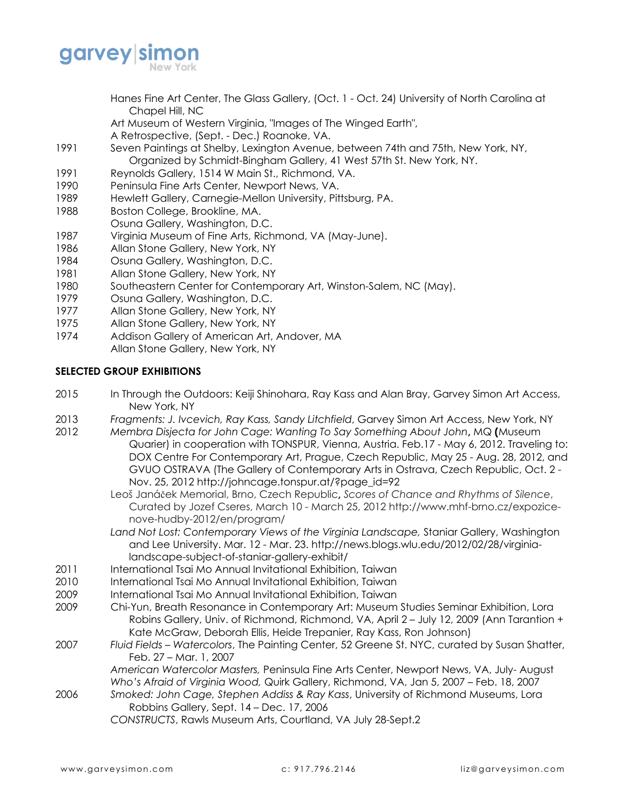

- Hanes Fine Art Center, The Glass Gallery, (Oct. 1 Oct. 24) University of North Carolina at Chapel Hill, NC
- Art Museum of Western Virginia, "Images of The Winged Earth",
- A Retrospective, (Sept. Dec.) Roanoke, VA.
- 1991 Seven Paintings at Shelby, Lexington Avenue, between 74th and 75th, New York, NY, Organized by Schmidt-Bingham Gallery, 41 West 57th St. New York, NY.
- 1991 Reynolds Gallery, 1514 W Main St., Richmond, VA.
- 1990 Peninsula Fine Arts Center, Newport News, VA.
- 1989 Hewlett Gallery, Carnegie-Mellon University, Pittsburg, PA.
- 1988 Boston College, Brookline, MA.
- Osuna Gallery, Washington, D.C.
- 1987 Virginia Museum of Fine Arts, Richmond, VA (May-June).
- 1986 Allan Stone Gallery, New York, NY
- 1984 Osuna Gallery, Washington, D.C.
- 1981 Allan Stone Gallery, New York, NY
- 1980 Southeastern Center for Contemporary Art, Winston-Salem, NC (May).
- 1979 Osuna Gallery, Washington, D.C.
- 1977 Allan Stone Gallery, New York, NY
- 1975 Allan Stone Gallery, New York, NY
- 1974 Addison Gallery of American Art, Andover, MA
- Allan Stone Gallery, New York, NY

## **SELECTED GROUP EXHIBITIONS**

- 2015 In Through the Outdoors: Keiji Shinohara, Ray Kass and Alan Bray, Garvey Simon Art Access, New York, NY
- 2013 *Fragments: J. Ivcevich, Ray Kass, Sandy Litchfield*, Garvey Simon Art Access, New York, NY
- 2012 *Membra Disjecta for John Cage: Wanting To Say Something About John***,** MQ **(**Museum Quarier) in cooperation with TONSPUR, Vienna, Austria. Feb.17 - May 6, 2012. Traveling to: DOX Centre For Contemporary Art, Prague, Czech Republic, May 25 - Aug. 28, 2012, and GVUO OSTRAVA (The Gallery of Contemporary Arts in Ostrava, Czech Republic, Oct. 2 - Nov. 25, 2012 http://johncage.tonspur.at/?page\_id=92
	- Leoš Janáček Memorial, Brno, Czech Republic**,** *Scores of Chance and Rhythms of Silence*, Curated by Jozef Cseres, March 10 - March 25, 2012 http://www.mhf-brno.cz/expozicenove-hudby-2012/en/program/
	- *Land Not Lost: Contemporary Views of the Virginia Landscape,* Staniar Gallery, Washington and Lee University. Mar. 12 - Mar. 23. http://news.blogs.wlu.edu/2012/02/28/virginialandscape-subject-of-staniar-gallery-exhibit/
- 2011 International Tsai Mo Annual Invitational Exhibition, Taiwan
- 2010 International Tsai Mo Annual Invitational Exhibition, Taiwan
- 2009 International Tsai Mo Annual Invitational Exhibition, Taiwan
- 2009 Chi-Yun, Breath Resonance in Contemporary Art: Museum Studies Seminar Exhibition, Lora Robins Gallery, Univ. of Richmond, Richmond, VA, April 2 – July 12, 2009 (Ann Tarantion + Kate McGraw, Deborah Ellis, Heide Trepanier, Ray Kass, Ron Johnson)
- 2007 *Fluid Fields Watercolors*, The Painting Center, 52 Greene St. NYC, curated by Susan Shatter, Feb. 27 – Mar. 1, 2007
	- *American Watercolor Masters,* Peninsula Fine Arts Center, Newport News, VA, July- August *Who's Afraid of Virginia Wood,* Quirk Gallery, Richmond, VA, Jan 5, 2007 – Feb. 18, 2007
- 2006 *Smoked: John Cage, Stephen Addiss & Ray Kass*, University of Richmond Museums, Lora Robbins Gallery, Sept. 14 – Dec. 17, 2006

*CONSTRUCTS*, Rawls Museum Arts, Courtland, VA July 28-Sept.2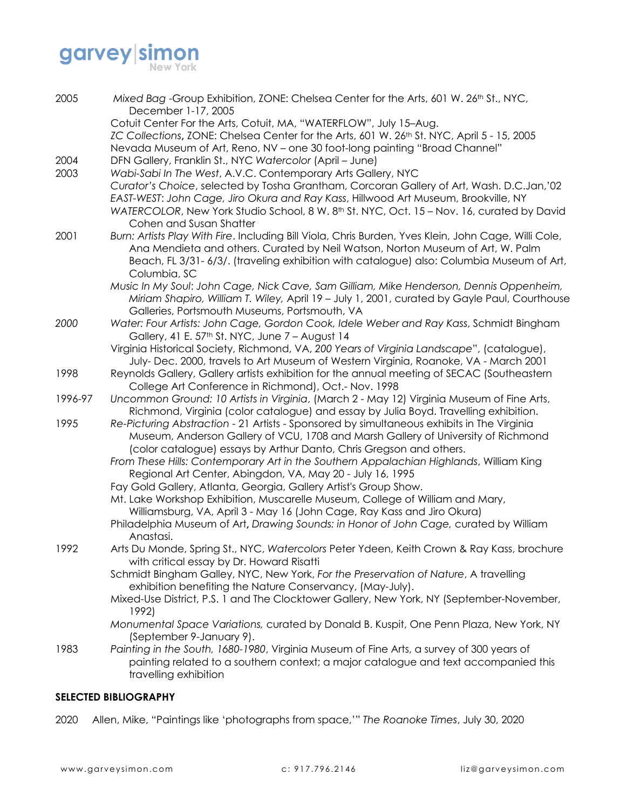# **garvey simon**

| 2005    | Mixed Bag -Group Exhibition, ZONE: Chelsea Center for the Arts, 601 W. 26th St., NYC,<br>December 1-17, 2005                                                                                                                                                                                                       |
|---------|--------------------------------------------------------------------------------------------------------------------------------------------------------------------------------------------------------------------------------------------------------------------------------------------------------------------|
|         | Cotuit Center For the Arts, Cotuit, MA, "WATERFLOW", July 15-Aug.<br>ZC Collections, ZONE: Chelsea Center for the Arts, 601 W. 26 <sup>th</sup> St. NYC, April 5 - 15, 2005                                                                                                                                        |
| 2004    | Nevada Museum of Art, Reno, NV - one 30 foot-long painting "Broad Channel"<br>DFN Gallery, Franklin St., NYC Watercolor (April - June)                                                                                                                                                                             |
| 2003    | Wabi-Sabi In The West, A.V.C. Contemporary Arts Gallery, NYC                                                                                                                                                                                                                                                       |
|         | Curator's Choice, selected by Tosha Grantham, Corcoran Gallery of Art, Wash. D.C.Jan,'02<br>EAST-WEST: John Cage, Jiro Okura and Ray Kass, Hillwood Art Museum, Brookville, NY<br>WATERCOLOR, New York Studio School, 8 W. 8 <sup>th</sup> St. NYC, Oct. 15 - Nov. 16, curated by David<br>Cohen and Susan Shatter |
| 2001    | Burn: Artists Play With Fire. Including Bill Viola, Chris Burden, Yves Klein, John Cage, Willi Cole,<br>Ana Mendieta and others. Curated by Neil Watson, Norton Museum of Art, W. Palm<br>Beach, FL 3/31-6/3/. (traveling exhibition with catalogue) also: Columbia Museum of Art,<br>Columbia, SC                 |
|         | Music In My Soul: John Cage, Nick Cave, Sam Gilliam, Mike Henderson, Dennis Oppenheim,<br>Miriam Shapiro, William T. Wiley, April 19 - July 1, 2001, curated by Gayle Paul, Courthouse<br>Galleries, Portsmouth Museums, Portsmouth, VA                                                                            |
| 2000    | Water: Four Artists: John Cage, Gordon Cook, Idele Weber and Ray Kass, Schmidt Bingham<br>Gallery, 41 E. 57th St. NYC, June 7 - August 14                                                                                                                                                                          |
|         | Virginia Historical Society, Richmond, VA, 200 Years of Virginia Landscape", (catalogue),<br>July- Dec. 2000, travels to Art Museum of Western Virginia, Roanoke, VA - March 2001                                                                                                                                  |
| 1998    | Reynolds Gallery, Gallery artists exhibition for the annual meeting of SECAC (Southeastern<br>College Art Conference in Richmond), Oct.- Nov. 1998                                                                                                                                                                 |
| 1996-97 | Uncommon Ground: 10 Artists in Virginia, (March 2 - May 12) Virginia Museum of Fine Arts,<br>Richmond, Virginia (color catalogue) and essay by Julia Boyd. Travelling exhibition.                                                                                                                                  |
| 1995    | Re-Picturing Abstraction - 21 Artists - Sponsored by simultaneous exhibits in The Virginia<br>Museum, Anderson Gallery of VCU, 1708 and Marsh Gallery of University of Richmond<br>(color catalogue) essays by Arthur Danto, Chris Gregson and others.                                                             |
|         | From These Hills: Contemporary Art in the Southern Appalachian Highlands, William King<br>Regional Art Center, Abingdon, VA, May 20 - July 16, 1995                                                                                                                                                                |
|         | Fay Gold Gallery, Atlanta, Georgia, Gallery Artist's Group Show.                                                                                                                                                                                                                                                   |
|         | Mt. Lake Workshop Exhibition, Muscarelle Museum, College of William and Mary,<br>Williamsburg, VA, April 3 - May 16 (John Cage, Ray Kass and Jiro Okura)                                                                                                                                                           |
|         | Philadelphia Museum of Art, Drawing Sounds: in Honor of John Cage, curated by William<br>Anastasi.                                                                                                                                                                                                                 |
| 1992    | Arts Du Monde, Spring St., NYC, Watercolors Peter Ydeen, Keith Crown & Ray Kass, brochure<br>with critical essay by Dr. Howard Risatti                                                                                                                                                                             |
|         | Schmidt Bingham Galley, NYC, New York, For the Preservation of Nature, A travelling<br>exhibition benefiting the Nature Conservancy, (May-July).                                                                                                                                                                   |
|         | Mixed-Use District, P.S. 1 and The Clocktower Gallery, New York, NY (September-November,<br>1992)                                                                                                                                                                                                                  |
|         | Monumental Space Variations, curated by Donald B. Kuspit, One Penn Plaza, New York, NY<br>(September 9-January 9).                                                                                                                                                                                                 |
| 1983    | Painting in the South, 1680-1980, Virginia Museum of Fine Arts, a survey of 300 years of                                                                                                                                                                                                                           |
|         | painting related to a southern context; a major catalogue and text accompanied this<br>travelling exhibition                                                                                                                                                                                                       |

# **SELECTED BIBLIOGRAPHY**

2020 Allen, Mike, "Paintings like 'photographs from space,'" *The Roanoke Times*, July 30, 2020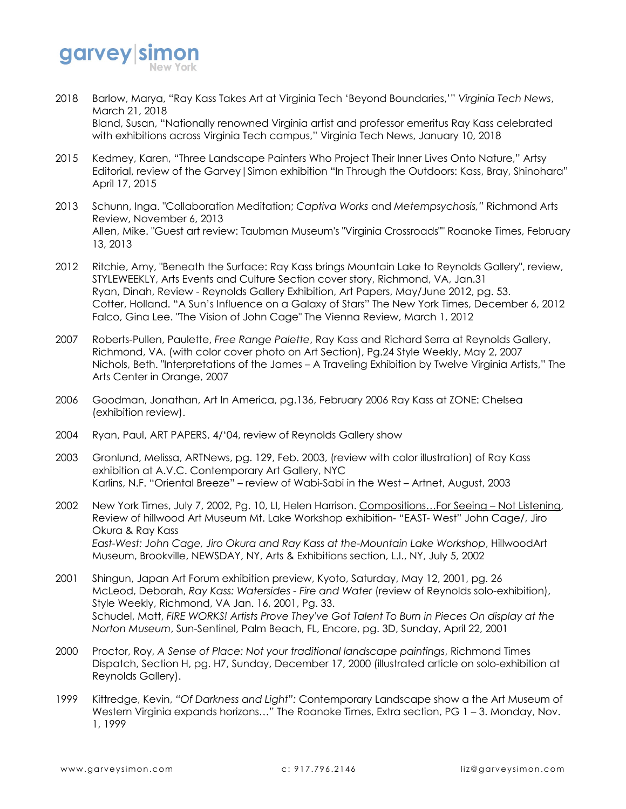

- 2018 Barlow, Marya, "Ray Kass Takes Art at Virginia Tech 'Beyond Boundaries,'" *Virginia Tech News*, March 21, 2018 Bland, Susan, "Nationally renowned Virginia artist and professor emeritus Ray Kass celebrated with exhibitions across Virginia Tech campus," Virginia Tech News, January 10, 2018
- 2015 Kedmey, Karen, "Three Landscape Painters Who Project Their Inner Lives Onto Nature," Artsy Editorial, review of the Garvey|Simon exhibition "In Through the Outdoors: Kass, Bray, Shinohara" April 17, 2015
- 2013 Schunn, Inga. "Collaboration Meditation; *Captiva Works* and *Metempsychosis,"* Richmond Arts Review, November 6, 2013 Allen, Mike. "Guest art review: Taubman Museum's "Virginia Crossroads"" Roanoke Times, February 13, 2013
- 2012 Ritchie, Amy, "Beneath the Surface: Ray Kass brings Mountain Lake to Reynolds Gallery", review, STYLEWEEKLY, Arts Events and Culture Section cover story, Richmond, VA, Jan.31 Ryan, Dinah, Review - Reynolds Gallery Exhibition, Art Papers, May/June 2012, pg. 53. Cotter, Holland. "A Sun's Influence on a Galaxy of Stars" The New York Times, December 6, 2012 Falco, Gina Lee. "The Vision of John Cage" The Vienna Review, March 1, 2012
- 2007 Roberts-Pullen, Paulette, *Free Range Palette*, Ray Kass and Richard Serra at Reynolds Gallery, Richmond, VA. (with color cover photo on Art Section), Pg.24 Style Weekly, May 2, 2007 Nichols, Beth. "Interpretations of the James – A Traveling Exhibition by Twelve Virginia Artists," The Arts Center in Orange, 2007
- 2006 Goodman, Jonathan, Art In America, pg.136, February 2006 Ray Kass at ZONE: Chelsea (exhibition review).
- 2004 Ryan, Paul, ART PAPERS, 4/'04, review of Reynolds Gallery show
- 2003 Gronlund, Melissa, ARTNews, pg. 129, Feb. 2003, (review with color illustration) of Ray Kass exhibition at A.V.C. Contemporary Art Gallery, NYC Karlins, N.F. "Oriental Breeze" – review of Wabi-Sabi in the West – Artnet, August, 2003
- 2002 New York Times, July 7, 2002, Pg. 10, LI, Helen Harrison. Compositions...For Seeing Not Listening, Review of hillwood Art Museum Mt. Lake Workshop exhibition- "EAST- West" John Cage/, Jiro Okura & Ray Kass *East-West: John Cage, Jiro Okura and Ray Kass at the-Mountain Lake Workshop*, HillwoodArt Museum, Brookville, NEWSDAY, NY, Arts & Exhibitions section, L.I., NY, July 5, 2002
- 2001 Shingun, Japan Art Forum exhibition preview, Kyoto, Saturday, May 12, 2001, pg. 26 McLeod, Deborah, *Ray Kass: Watersides - Fire and Water* (review of Reynolds solo-exhibition), Style Weekly, Richmond, VA Jan. 16, 2001, Pg. 33. Schudel, Matt, *FIRE WORKS! Artists Prove They've Got Talent To Burn in Pieces On display at the Norton Museum*, Sun-Sentinel, Palm Beach, FL, Encore, pg. 3D, Sunday, April 22, 2001
- 2000 Proctor, Roy, *A Sense of Place: Not your traditional landscape paintings*, Richmond Times Dispatch, Section H, pg. H7, Sunday, December 17, 2000 (illustrated article on solo-exhibition at Reynolds Gallery).
- 1999 Kittredge, Kevin, *"Of Darkness and Light":* Contemporary Landscape show a the Art Museum of Western Virginia expands horizons..." The Roanoke Times, Extra section, PG 1 - 3. Monday, Nov. 1, 1999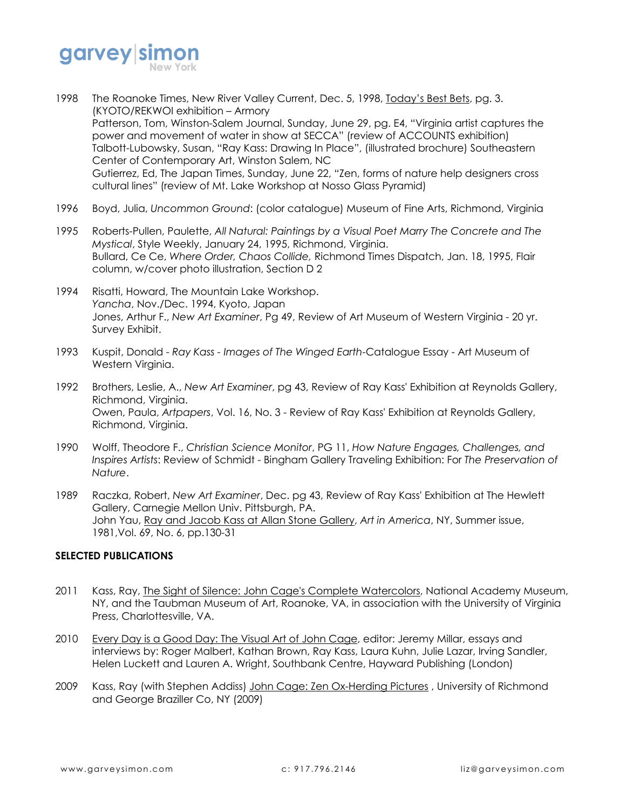

- 1998 The Roanoke Times, New River Valley Current, Dec. 5, 1998, Today's Best Bets, pg. 3. (KYOTO/REKWOI exhibition – Armory Patterson, Tom, Winston-Salem Journal, Sunday, June 29, pg. E4, "Virginia artist captures the power and movement of water in show at SECCA" (review of ACCOUNTS exhibition) Talbott-Lubowsky, Susan, "Ray Kass: Drawing In Place", (illustrated brochure) Southeastern Center of Contemporary Art, Winston Salem, NC Gutierrez, Ed, The Japan Times, Sunday, June 22, "Zen, forms of nature help designers cross cultural lines" (review of Mt. Lake Workshop at Nosso Glass Pyramid)
- 1996 Boyd, Julia, *Uncommon Ground*: (color catalogue) Museum of Fine Arts, Richmond, Virginia
- 1995 Roberts-Pullen, Paulette, *All Natural: Paintings by a Visual Poet Marry The Concrete and The Mystical*, Style Weekly, January 24, 1995, Richmond, Virginia. Bullard, Ce Ce, *Where Order, Chaos Collide,* Richmond Times Dispatch, Jan. 18, 1995, Flair column, w/cover photo illustration, Section D 2
- 1994 Risatti, Howard, The Mountain Lake Workshop. *Yancha*, Nov./Dec. 1994, Kyoto, Japan Jones, Arthur F., *New Art Examiner*, Pg 49, Review of Art Museum of Western Virginia - 20 yr. Survey Exhibit.
- 1993 Kuspit, Donald *Ray Kass - Images of The Winged Earth*-Catalogue Essay Art Museum of Western Virginia.
- 1992 Brothers, Leslie, A., *New Art Examiner*, pg 43, Review of Ray Kass' Exhibition at Reynolds Gallery, Richmond, Virginia. Owen, Paula, *Artpapers*, Vol. 16, No. 3 - Review of Ray Kass' Exhibition at Reynolds Gallery, Richmond, Virginia.
- 1990 Wolff, Theodore F., *Christian Science Monitor*, PG 11, *How Nature Engages, Challenges, and Inspires Artists*: Review of Schmidt - Bingham Gallery Traveling Exhibition: For *The Preservation of Nature*.
- 1989 Raczka, Robert, *New Art Examiner*, Dec. pg 43, Review of Ray Kass' Exhibition at The Hewlett Gallery, Carnegie Mellon Univ. Pittsburgh, PA. John Yau, Ray and Jacob Kass at Allan Stone Gallery, *Art in America*, NY, Summer issue, 1981,Vol. 69, No. 6, pp.130-31

# **SELECTED PUBLICATIONS**

- 2011 Kass, Ray, The Sight of Silence: John Cage's Complete Watercolors, National Academy Museum, NY, and the Taubman Museum of Art, Roanoke, VA, in association with the University of Virginia Press, Charlottesville, VA.
- 2010 Every Day is a Good Day: The Visual Art of John Cage, editor: Jeremy Millar, essays and interviews by: Roger Malbert, Kathan Brown, Ray Kass, Laura Kuhn, Julie Lazar, Irving Sandler, Helen Luckett and Lauren A. Wright, Southbank Centre, Hayward Publishing (London)
- 2009 Kass, Ray (with Stephen Addiss) John Cage: Zen Ox-Herding Pictures , University of Richmond and George Braziller Co, NY (2009)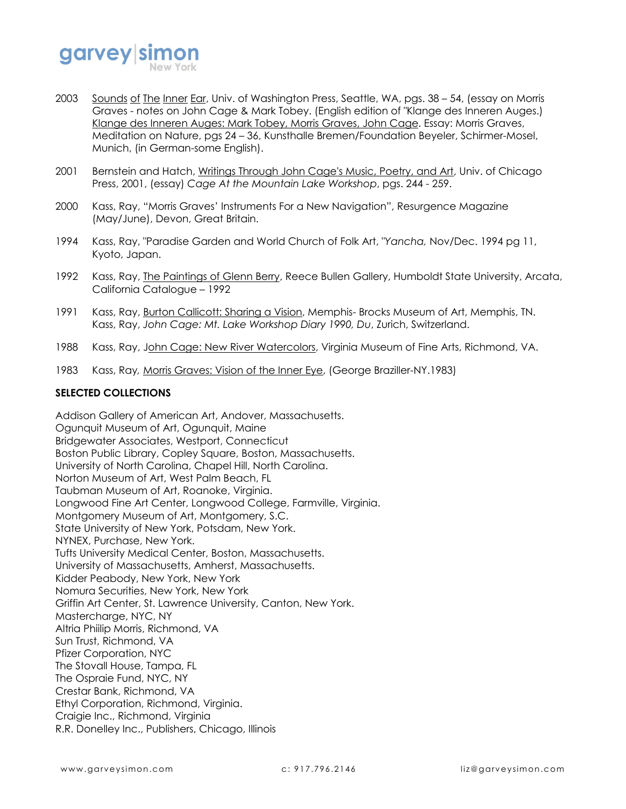

- 2003 Sounds of The Inner Ear, Univ. of Washington Press, Seattle, WA, pgs. 38 54, (essay on Morris Graves - notes on John Cage & Mark Tobey. (English edition of "Klange des Inneren Auges.) Klange des Inneren Auges: Mark Tobey, Morris Graves, John Cage. Essay: Morris Graves, Meditation on Nature, pgs 24 – 36, Kunsthalle Bremen/Foundation Beyeler, Schirmer-Mosel, Munich, (in German-some English).
- 2001 Bernstein and Hatch, Writings Through John Cage's Music, Poetry, and Art, Univ. of Chicago Press, 2001, (essay) *Cage At the Mountain Lake Workshop*, pgs. 244 - 259.
- 2000 Kass, Ray, "Morris Graves' Instruments For a New Navigation", Resurgence Magazine (May/June), Devon, Great Britain.
- 1994 Kass, Ray, "Paradise Garden and World Church of Folk Art, "*Yancha,* Nov/Dec. 1994 pg 11, Kyoto, Japan.
- 1992 Kass, Ray, The Paintings of Glenn Berry, Reece Bullen Gallery, Humboldt State University, Arcata, California Catalogue – 1992
- 1991 Kass, Ray, Burton Callicott: Sharing a Vision, Memphis- Brocks Museum of Art, Memphis, TN. Kass, Ray, *John Cage: Mt. Lake Workshop Diary 1990, Du*, Zurich, Switzerland.
- 1988 Kass, Ray, John Cage: New River Watercolors, Virginia Museum of Fine Arts, Richmond, VA.
- 1983 Kass, Ray*,* Morris Graves: Vision of the Inner Eye, (George Braziller-NY.1983)

### **SELECTED COLLECTIONS**

Addison Gallery of American Art, Andover, Massachusetts. Ogunquit Museum of Art, Ogunquit, Maine Bridgewater Associates, Westport, Connecticut Boston Public Library, Copley Square, Boston, Massachusetts. University of North Carolina, Chapel Hill, North Carolina. Norton Museum of Art, West Palm Beach, FL Taubman Museum of Art, Roanoke, Virginia. Longwood Fine Art Center, Longwood College, Farmville, Virginia. Montgomery Museum of Art, Montgomery, S.C. State University of New York, Potsdam, New York. NYNEX, Purchase, New York. Tufts University Medical Center, Boston, Massachusetts. University of Massachusetts, Amherst, Massachusetts. Kidder Peabody, New York, New York Nomura Securities, New York, New York Griffin Art Center, St. Lawrence University, Canton, New York. Mastercharge, NYC, NY Altria Phiilip Morris, Richmond, VA Sun Trust, Richmond, VA Pfizer Corporation, NYC The Stovall House, Tampa, FL The Ospraie Fund, NYC, NY Crestar Bank, Richmond, VA Ethyl Corporation, Richmond, Virginia. Craigie Inc., Richmond, Virginia R.R. Donelley Inc., Publishers, Chicago, Illinois